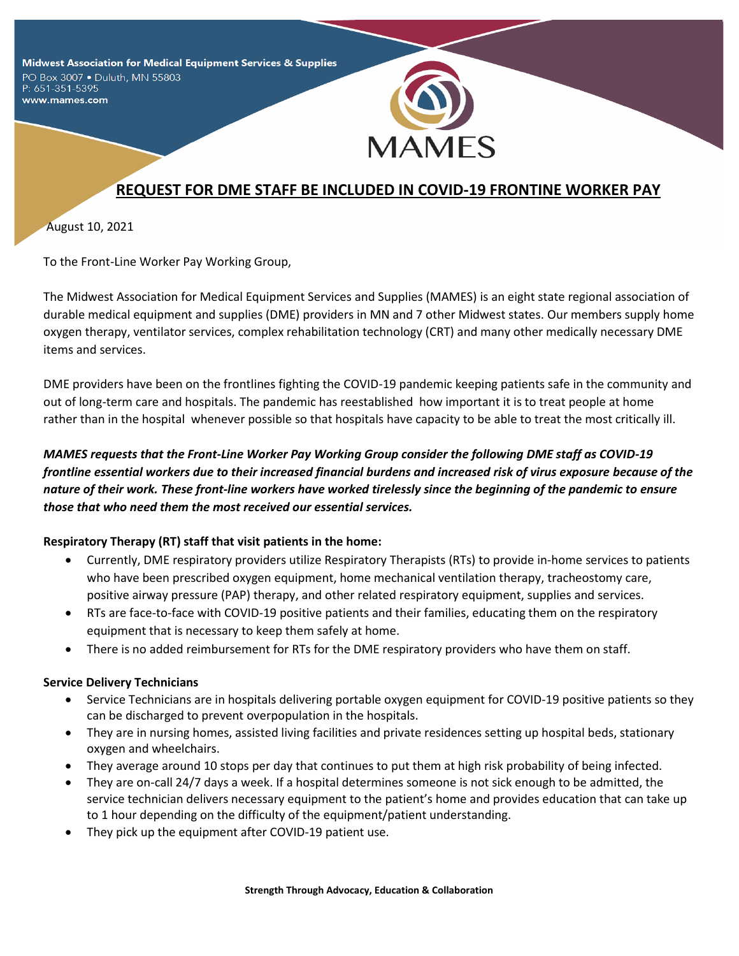Midwest Association for Medical Equipment Services & Supplies PO Box 3007 . Duluth, MN 55803

P: 651-351-5395 www.mames.com



# **REQUEST FOR DME STAFF BE INCLUDED IN COVID-19 FRONTINE WORKER PAY**

August 10, 2021

To the Front-Line Worker Pay Working Group,

The Midwest Association for Medical Equipment Services and Supplies (MAMES) is an eight state regional association of durable medical equipment and supplies (DME) providers in MN and 7 other Midwest states. Our members supply home oxygen therapy, ventilator services, complex rehabilitation technology (CRT) and many other medically necessary DME items and services.

DME providers have been on the frontlines fighting the COVID-19 pandemic keeping patients safe in the community and out of long-term care and hospitals. The pandemic has reestablished how important it is to treat people at home rather than in the hospital whenever possible so that hospitals have capacity to be able to treat the most critically ill.

# *MAMES requests that the Front-Line Worker Pay Working Group consider the following DME staff as COVID-19 frontline essential workers due to their increased financial burdens and increased risk of virus exposure because of the nature of their work. These front-line workers have worked tirelessly since the beginning of the pandemic to ensure those that who need them the most received our essential services.*

## **Respiratory Therapy (RT) staff that visit patients in the home:**

- Currently, DME respiratory providers utilize Respiratory Therapists (RTs) to provide in-home services to patients who have been prescribed oxygen equipment, home mechanical ventilation therapy, tracheostomy care, positive airway pressure (PAP) therapy, and other related respiratory equipment, supplies and services.
- RTs are face-to-face with COVID-19 positive patients and their families, educating them on the respiratory equipment that is necessary to keep them safely at home.
- There is no added reimbursement for RTs for the DME respiratory providers who have them on staff.

#### **Service Delivery Technicians**

- Service Technicians are in hospitals delivering portable oxygen equipment for COVID-19 positive patients so they can be discharged to prevent overpopulation in the hospitals.
- They are in nursing homes, assisted living facilities and private residences setting up hospital beds, stationary oxygen and wheelchairs.
- They average around 10 stops per day that continues to put them at high risk probability of being infected.
- They are on-call 24/7 days a week. If a hospital determines someone is not sick enough to be admitted, the service technician delivers necessary equipment to the patient's home and provides education that can take up to 1 hour depending on the difficulty of the equipment/patient understanding.
- They pick up the equipment after COVID-19 patient use.